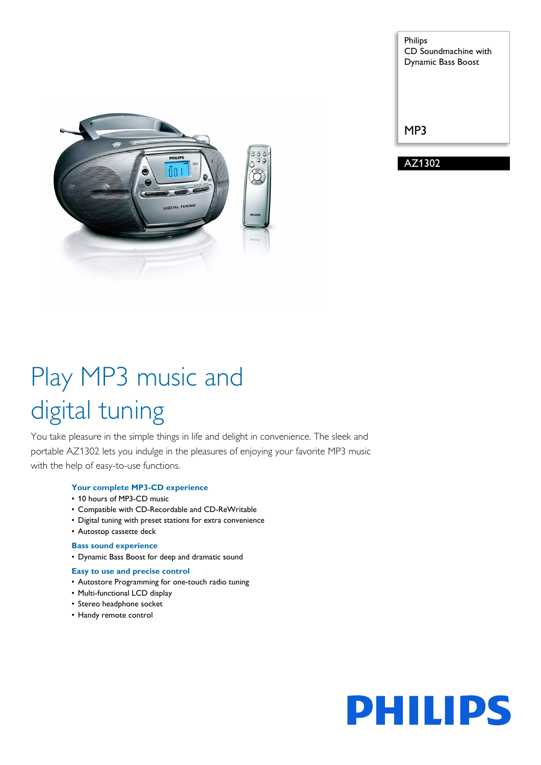Philips CD Soundmachine with Dynamic Bass Boost

MP3

AZ1302



# Play MP3 music and digital tuning

You take pleasure in the simple things in life and delight in convenience. The sleek and portable AZ1302 lets you indulge in the pleasures of enjoying your favorite MP3 music with the help of easy-to-use functions.

# **Your complete MP3-CD experience**

- 10 hours of MP3-CD music
- Compatible with CD-Recordable and CD-ReWritable
- Digital tuning with preset stations for extra convenience
- Autostop cassette deck

# **Bass sound experience**

• Dynamic Bass Boost for deep and dramatic sound

## **Easy to use and precise control**

- Autostore Programming for one-touch radio tuning
- Multi-functional LCD display
- Stereo headphone socket
- Handy remote control